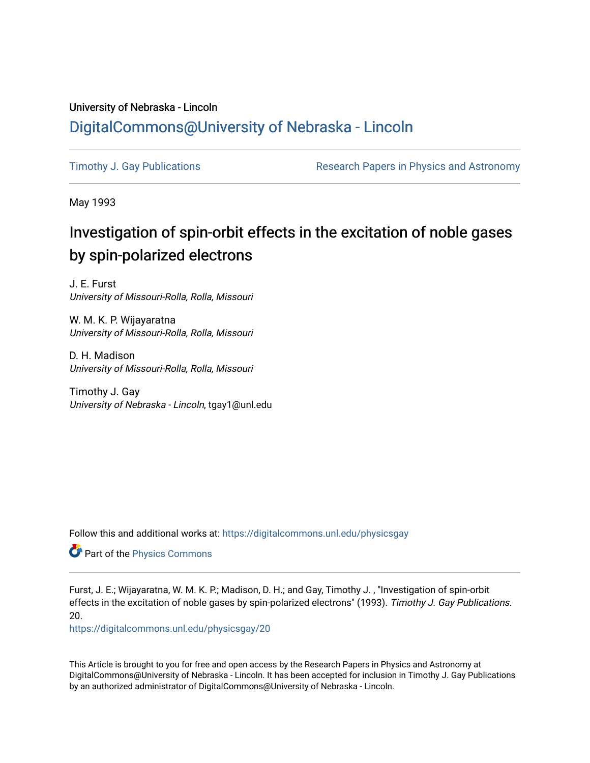## University of Nebraska - Lincoln [DigitalCommons@University of Nebraska - Lincoln](https://digitalcommons.unl.edu/)

[Timothy J. Gay Publications](https://digitalcommons.unl.edu/physicsgay) **Research Papers in Physics and Astronomy** 

May 1993

# Investigation of spin-orbit effects in the excitation of noble gases by spin-polarized electrons

J. E. Furst University of Missouri-Rolla, Rolla, Missouri

W. M. K. P. Wijayaratna University of Missouri-Rolla, Rolla, Missouri

D. H. Madison University of Missouri-Rolla, Rolla, Missouri

Timothy J. Gay University of Nebraska - Lincoln, tgay1@unl.edu

Follow this and additional works at: [https://digitalcommons.unl.edu/physicsgay](https://digitalcommons.unl.edu/physicsgay?utm_source=digitalcommons.unl.edu%2Fphysicsgay%2F20&utm_medium=PDF&utm_campaign=PDFCoverPages)

Part of the [Physics Commons](http://network.bepress.com/hgg/discipline/193?utm_source=digitalcommons.unl.edu%2Fphysicsgay%2F20&utm_medium=PDF&utm_campaign=PDFCoverPages)

Furst, J. E.; Wijayaratna, W. M. K. P.; Madison, D. H.; and Gay, Timothy J. , "Investigation of spin-orbit effects in the excitation of noble gases by spin-polarized electrons" (1993). Timothy J. Gay Publications. 20.

[https://digitalcommons.unl.edu/physicsgay/20](https://digitalcommons.unl.edu/physicsgay/20?utm_source=digitalcommons.unl.edu%2Fphysicsgay%2F20&utm_medium=PDF&utm_campaign=PDFCoverPages) 

This Article is brought to you for free and open access by the Research Papers in Physics and Astronomy at DigitalCommons@University of Nebraska - Lincoln. It has been accepted for inclusion in Timothy J. Gay Publications by an authorized administrator of DigitalCommons@University of Nebraska - Lincoln.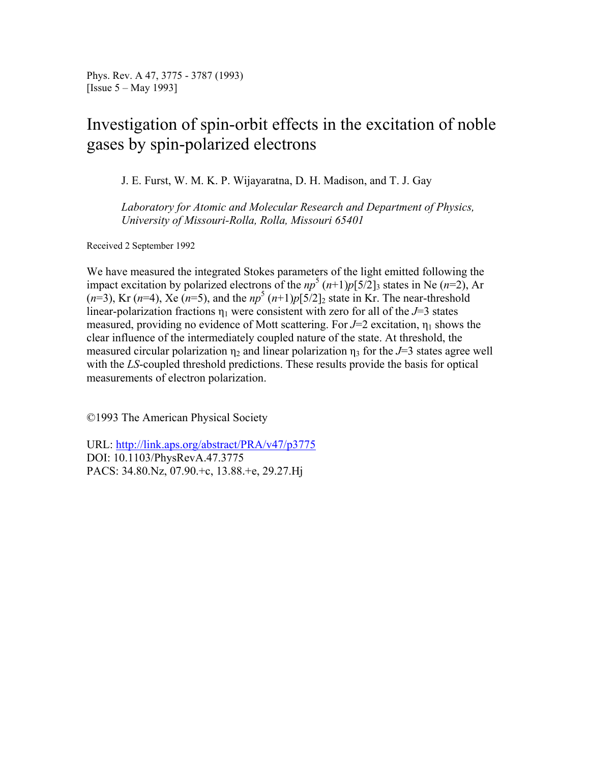Phys. Rev. A 47, 3775 - 3787 (1993) [Issue 5 – May 1993]

# Investigation of spin-orbit effects in the excitation of noble gases by spin-polarized electrons

J. E. Furst, W. M. K. P. Wijayaratna, D. H. Madison, and T. J. Gay

*Laboratory for Atomic and Molecular Research and Department of Physics, University of Missouri-Rolla, Rolla, Missouri 65401*

Received 2 September 1992

We have measured the integrated Stokes parameters of the light emitted following the impact excitation by polarized electrons of the  $np^5 (n+1)p[5/2]_3$  states in Ne (*n*=2), Ar  $(n=3)$ , Kr  $(n=4)$ , Xe  $(n=5)$ , and the  $np^5 (n+1)p[5/2]_2$  state in Kr. The near-threshold linear-polarization fractions  $\eta_1$  were consistent with zero for all of the *J*=3 states measured, providing no evidence of Mott scattering. For  $J=2$  excitation,  $\eta_1$  shows the clear influence of the intermediately coupled nature of the state. At threshold, the measured circular polarization  $\eta_2$  and linear polarization  $\eta_3$  for the *J*=3 states agree well with the *LS*-coupled threshold predictions. These results provide the basis for optical measurements of electron polarization.

©1993 The American Physical Society

URL: http://link.aps.org/abstract/PRA/v47/p3775 DOI: 10.1103/PhysRevA.47.3775 PACS: 34.80.Nz, 07.90.+c, 13.88.+e, 29.27.Hj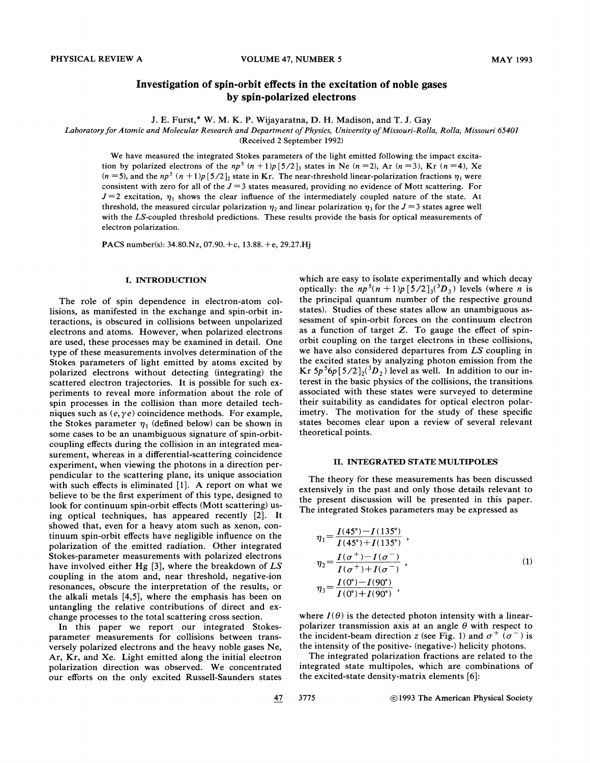### **Investigation of spin-orbit effects in the excitation of noble gases by spin-polarized electrons**

J. E. Furst,\* W. M. K. P. Wijayaratna, D. H. Madison, and T. J. Gay

#### Laboratory for Atomic and Molecular Research and Department of Physics, University of Missouri-Rolla, Rolla, Missouri 65401

(Received 2 September 1992)

We have measured the integrated Stokes parameters of the light emitted following the impact excitation by polarized electrons of the  $np^5$   $(n + 1)p[5/2]_3$  states in Ne  $(n = 2)$ , Ar  $(n = 3)$ , Kr  $(n = 4)$ , Xe  $(n = 5)$ , and the np<sup>5</sup>  $(n + 1)p[5/2]$  state in Kr. The near-threshold linear-polarization fractions  $\eta_1$  were consistent with zero for all of the  $J = 3$  states measured, providing no evidence of Mott scattering. For  $J=2$  excitation,  $\eta_1$  shows the clear influence of the intermediately coupled nature of the state. At threshold, the measured circular polarization  $\eta_2$  and linear polarization  $\eta_3$  for the  $J=3$  states agree well with the LS-coupled threshold predictions. These results provide the basis for optical measurements of electron polarization.

PACS number(s): 34.80.Nz, 07.90.+c, 13.88. +e, 29.27.Hj

#### **I. INTRODUCTION**

The role of spin dependence in electron-atom collisions, as manifested in the exchange and spin-orbit interactions, is obscured in collisions between unpolarized electrons and atoms. However, when polarized electrons are used, these processes may be examined in detail. One type of these measurements involves determination of the Stokes parameters of light emitted by atoms excited by polarized electrons without detecting (integrating) the scattered electron trajectories. It is possible for such experiments to reveal more information about the role of spin processes in the collision than more detailed techniques such as  $(e, \gamma e)$  coincidence methods. For example, the Stokes parameter  $\eta_1$  (defined below) can be shown in some cases to be an unambiguous signature of spin-orbitcoupling effects during the collision in an integrated measurement, whereas in a differential-scattering coincidence experiment, when viewing the photons in a direction perpendicular to the scattering plane, its unique association with such effects is eliminated [I]. **A** report on what we believe to be the first experiment of this type, designed to look for continuum spin-orbit effects (Mott scattering) using optical techniques, has appeared recently [2]. It showed that, even for a heavy atom such as xenon, continuum spin-orbit effects have negligible influence on the polarization of the emitted radiation. Other integrated Stokes-parameter measurements with polarized electrons have involved either Hg **[3],** where the breakdown of *LS*  coupling in the atom and, near threshold, negative-ion resonances, obscure the interpretation of the results, or the alkali metals [4,5], where the emphasis has been on untangling the relative contributions of direct and exchange processes to the total scattering cross section.

In this paper we report our integrated Stokesparameter measurements for collisions between transversely polarized electrons and the heavy noble gases Ne, Ar, Kr, and Xe. Light emitted along the initial electron polarization direction was observed. We concentrated our efforts on the only excited Russell-Saunders states

which are easy to isolate experimentally and which decay optically: the  $np^5(n+1)p[5/2]_3(^3D_3)$  levels (where *n* is the principal quantum number of the respective ground states). Studies of these states allow an unambiguous assessment of spin-orbit forces on the continuum electron as a function of target Z. To gauge the effect of spinorbit coupling on the target electrons in these collisions, we have also considered departures from *LS* coupling in the excited states by analyzing photon emission from the Kr  $5p^56p[5/2]_2({}^3D_2)$  level as well. In addition to our interest in the basic physics of the collisions, the transitions associated with these states were surveyed to determine their suitability as candidates for optical electron polarimetry. The motivation for the study of these specific states becomes clear upon a review of several relevant theoretical points.

#### **11. INTEGRATED STATE MULTIPOLES**

The theory for these measurements has been discussed extensively in the past and only those details relevant to the present discussion will be presented in this paper. The integrated Stokes parameters may be expressed as

$$
\eta_1 = \frac{I(45^\circ) - I(135^\circ)}{I(45^\circ) + I(135^\circ)} ,
$$
  
\n
$$
\eta_2 = \frac{I(\sigma^+) - I(\sigma^-)}{I(\sigma^+) + I(\sigma^-)} ,
$$
  
\n
$$
\eta_3 = \frac{I(0^\circ) - I(90^\circ)}{I(0^\circ) + I(90^\circ)} ,
$$
  
\n(1)

where  $I(\theta)$  is the detected photon intensity with a linearpolarizer transmission axis at an angle  $\theta$  with respect to the incident-beam direction z (see Fig. 1) and  $\sigma^+$  ( $\sigma^-$ ) is the intensity of the positive- (negative-) helicity photons.

The integrated polarization fractions are related to the integrated state multipoles, which are combinations of the excited-state density-matrix elements [6]: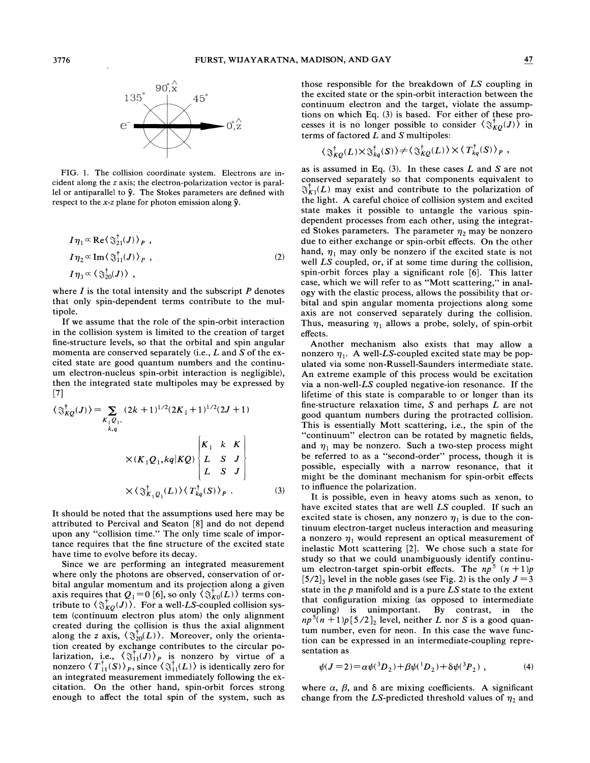

FIG. 1. The collision coordinate system. Electrons are incident along the z axis; the electron-polarization vector is parallel or antiparallel to *9.* The Stokes parameters are defined with respect to the *x-z* plane for photon emission along *9.* 

$$
I\eta_1 \propto \text{Re}\left\langle \mathfrak{F}_{21}^{\dagger}(J) \right\rangle_P ,
$$
  
\n
$$
I\eta_2 \propto \text{Im}\left\langle \mathfrak{F}_{11}^{\dagger}(J) \right\rangle_P ,
$$
  
\n
$$
I\eta_3 \propto \left\langle \mathfrak{F}_{20}^{\dagger}(J) \right\rangle ,
$$
\n(2)

where  $I$  is the total intensity and the subscript  $P$  denotes that only spin-dependent terms contribute to the multipole.

If we assume that the role of the spin-orbit interaction in the collision system is limited to the creation of target fine-structure levels, so that the orbital and spin angular momenta are conserved separately (i.e., L and S of the excited state are good quantum numbers and the continuum electron-nucleus spin-orbit interaction is negligible), then the integrated state multipoles may be expressed by [71

$$
\langle \mathfrak{F}_{KQ}^{\dagger}(J) \rangle = \sum_{K_1Q_1, \atop k,q} (2k+1)^{1/2} (2K_1+1)^{1/2} (2J+1)
$$
  

$$
\times (K_1Q_1, kq|KQ) \begin{bmatrix} K_1 & k & K \\ L & S & J \\ L & S & J \end{bmatrix}
$$
  

$$
\times \langle \mathfrak{F}_{K_1Q_1}^{\dagger}(L) \rangle \langle T_{kq}^{\dagger}(S) \rangle_P .
$$
 (3)

It should be noted that the assumptions used here may be attributed to Percival and Seaton [8] and do not depend upon any "collision time." The only time scale of importance requires that the fine structure of the excited state have time to evolve before its decay.

Since we are performing an integrated measurement where only the photons are observed, conservation of orbital angular momentum and its projection along a given axis requires that  $Q_1 = 0$  [6], so only  $\langle \mathcal{F}_{K_0}(L) \rangle$  terms contribute to  $\langle \Im_{KQ}^{\dagger}(J) \rangle$ . For a well-LS-coupled collision system (continuum electron plus atom) the only alignment created during the collision is thus the axial alignment along the z axis,  $\langle \S_{20}^{\dagger}(L) \rangle$ . Moreover, only the orientation created by exchange contributes to the circular polarization, i.e.,  $\langle \hat{\mathfrak{F}}_1^{\dagger}(J) \rangle_p$  is nonzero by virtue of a nonzero  $\langle T_{11}^{\dagger}(S) \rangle_{P}$ , since  $\langle \mathfrak{F}_{11}^{\dagger}(L) \rangle$  is identically zero for an integrated measurement immediately following the excitation. On the other hand, spin-orbit forces strong enough to affect the total spin of the system, such as

those responsible for the breakdown of LS coupling in the excited state or the spin-orbit interaction between the continuum electron and the target, violate the assumptions on which Eq. (3) is based. For either of these processes it is no longer possible to consider  $\langle \mathfrak{F}_{KQ}(J) \rangle$  in terms of factored  $L$  and  $S$  multipoles:

$$
\langle \mathfrak{J}^{\dagger}_{KO}(L) \times \mathfrak{J}^{\dagger}_{ka}(S) \rangle \neq \langle \mathfrak{J}^{\dagger}_{KO}(L) \rangle \times \langle T^{\dagger}_{kq}(S) \rangle_{P} ,
$$

as is assumed in Eq.  $(3)$ . In these cases L and S are not conserved separately so that components equivalent to  $\mathfrak{F}^{\dagger}_{K1}(L)$  may exist and contribute to the polarization of the light. A careful choice of collision system and excited state makes it possible to untangle the various spindependent processes from each other, using the integrated Stokes parameters. The parameter  $\eta_2$  may be nonzero due to either exchange or spin-orbit effects. On the other hand,  $\eta_1$  may only be nonzero if the excited state is not well LS coupled, or, if at some time during the collision, spin-orbit forces play a significant role [6]. This latter case, which we will refer to as "Mott scattering," in analogy with the elastic process, allows the possibility that orbital and spin angular momenta projections along some axis are not conserved separately during the collision. Thus, measuring  $\eta_1$  allows a probe, solely, of spin-orbit effects.

Another mechanism also exists that may allow a nonzero  $\eta_1$ . A well-LS-coupled excited state may be populated via some non-Russell-Saunders intermediate state. An extreme example of this process would be excitation via a non-well-LS coupled negative-ion resonance. If the lifetime of this state is comparable to or longer than its fine-structure relaxation time,  $S$  and perhaps  $L$  are not good quantum numbers during the protracted collision. This is essentially Mott scattering, i.e., the spin of the "continuum" electron can be rotated by magnetic fields, and  $\eta_1$  may be nonzero. Such a two-step process might be referred to as a "second-order" process, though it is possible, especially with a narrow resonance, that it might be the dominant mechanism for spin-orbit effects to influence the polarization.

It is possible, even in heavy atoms such as xenon, to have excited states that are well  $LS$  coupled. If such an excited state is chosen, any nonzero  $\eta_1$  is due to the continuum electron-target nucleus interaction and measuring a nonzero  $\eta_1$  would represent an optical measurement of inelastic Mott scattering [2]. We chose such a state for study so that we could unambiguously identify continuum electron-target spin-orbit effects. The  $np^5$   $(n + 1)p$  $[5/2]$ , level in the noble gases (see Fig. 2) is the only  $J = 3$ state in the  $p$  manifold and is a pure  $LS$  state to the extent that configuration mixing (as opposed to intermediate coupling) is unimportant. By contrast, in the  $np^{5}(n+1)p[5/2]$ , level, neither L nor S is a good quantum number, even for neon. In this case the wave function can be expressed in an intermediate-coupling representation as

$$
\psi(J=2) = \alpha \psi({}^3D_2) + \beta \psi({}^1D_2) + \delta \psi({}^3P_2) , \qquad (4)
$$

where  $\alpha$ ,  $\beta$ , and  $\delta$  are mixing coefficients. A significant change from the LS-predicted threshold values of  $\eta_2$  and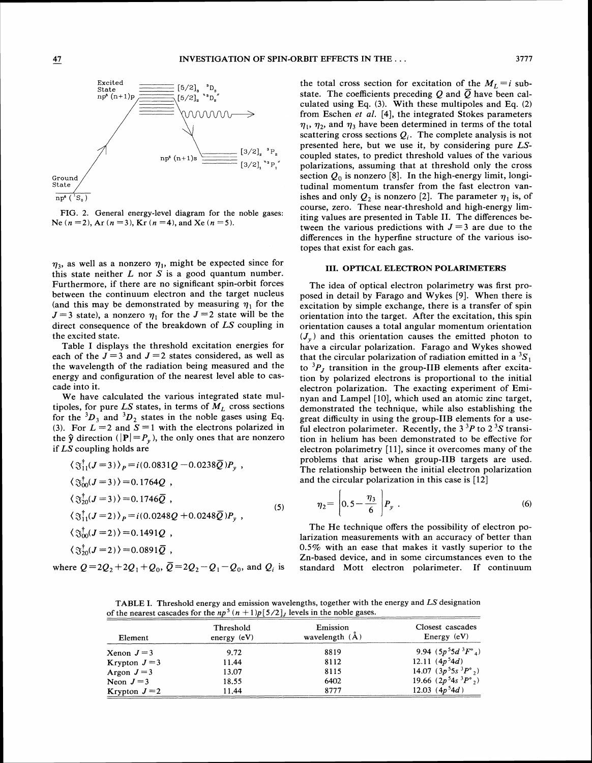

FIG. *2.* General energy-level diagram for the noble gases: Ne *(n =2),* Ar (n *=3),* Kr *(n =4),* and Xe *(n =5).* 

 $\eta_3$ , as well as a nonzero  $\eta_1$ , might be expected since for this state neither  $L$  nor  $S$  is a good quantum number. Furthermore, if there are no significant spin-orbit forces between the continuum electron and the target nucleus (and this may be demonstrated by measuring  $\eta_1$  for the  $J=3$  state), a nonzero  $\eta_1$  for the  $J=2$  state will be the direct consequence of the breakdown of *LS* coupling in the excited state.

Table I displays the threshold excitation energies for each of the  $J = 3$  and  $J = 2$  states considered, as well as the wavelength of the radiation being measured and the energy and configuration of the nearest level able to cascade into it.

We have calculated the various integrated state multipoles, for pure LS states, in terms of  $M_L$  cross sections for the  ${}^{3}D_3$  and  ${}^{3}D_2$  states in the noble gases using Eq. (3). For  $L = 2$  and  $S = 1$  with the electrons polarized in the  $\hat{y}$  direction  $(|P| = P_y)$ , the only ones that are nonzero if *LS* coupling holds are

$$
\langle \Im_{11}^{\dagger}(J=3) \rangle_{P} = i(0.0831Q - 0.0238\bar{Q})P_{y} ,
$$
  
\n
$$
\langle \Im_{00}^{\dagger}(J=3) \rangle = 0.1764Q ,
$$
  
\n
$$
\langle \Im_{20}^{\dagger}(J=3) \rangle = 0.1746\bar{Q} ,
$$
  
\n
$$
\langle \Im_{11}^{\dagger}(J=2) \rangle_{P} = i(0.0248Q + 0.0248\bar{Q})P_{y} ,
$$
  
\n
$$
\langle \Im_{00}^{\dagger}(J=2) \rangle = 0.1491Q ,
$$
  
\n
$$
\langle \Im_{20}^{\dagger}(J=2) \rangle = 0.0891\bar{Q} ,
$$
  
\n(5)

where  $Q=2Q_2+2Q_1+Q_0$ ,  $\overline{Q}=2Q_2-Q_1-Q_0$ , and  $Q_i$  is

the total cross section for excitation of the  $M_L = i$  substate. The coefficients preceding  $Q$  and  $\overline{Q}$  have been calculated using Eq. *(3).* With these multipoles and Eq. *(2)*  from Eschen *et al.* **[4],** the integrated Stokes parameters  $\eta_1$ ,  $\eta_2$ , and  $\eta_3$  have been determined in terms of the total scattering cross sections  $Q_i$ . The complete analysis is not presented here, but we use it, by considering pure *LS*coupled states, to predict threshold values of the various polarizations, assuming that at threshold only the cross section  $Q_0$  is nonzero [8]. In the high-energy limit, longitudinal momentum transfer from the fast electron vanishes and only  $Q_2$  is nonzero [2]. The parameter  $\eta_1$  is, of course, zero. These near-threshold and high-energy limiting values are presented in Table 11. The differences between the various predictions with  $J=3$  are due to the differences in the hyperfine structure of the various isotopes that exist for each gas.

#### 111. OPTICAL ELECTRON POLARIMETERS

The idea of optical electron polarimetry was first proposed in detail by Farago and Wykes [9]. When there is excitation by simple exchange, there is a transfer of spin orientation into the target. After the excitation, this spin orientation causes a total angular momentum orientation  $(J_v)$  and this orientation causes the emitted photon to have a circular polarization. Farago and Wykes showed that the circular polarization of radiation emitted in a  ${}^{3}S_{1}$ to  ${}^{3}P_J$  transition in the group-IIB elements after excitation by polarized electrons is proportional to the initial electron polarization. The exacting experiment of Eminyan and Lampel [lo], which used an atomic zinc target, demonstrated the technique, while also establishing the great difficulty in using the group-IIB elements for a useful electron polarimeter. Recently, the  $3^{3}P$  to  $2^{3}S$  transition in helium has been demonstrated to be effective for electron polarimetry [ll], since it overcomes many of the problems that arise when group-1IB targets are used. The relationship between the initial electron polarization and the circular polarization in this case is [12]

$$
\eta_2 = \left| 0.5 - \frac{\eta_3}{6} \right| P_y \ . \tag{6}
$$

The He technique offers the possibility of electron polarization measurements with an accuracy of better than 0.5% with an ease that makes it vastly superior to the Zn-based device, and in some circumstances even to the standard Mott electron polarimeter. If continuum

TABLE I. Threshold energy and emission wavelengths, together with the energy and LS designation of the nearest cascades for the  $np^5$   $(n + 1)p[5/2]$  levels in the noble gases.

 $\epsilon$ 

| Element       | Threshold<br>energy $(eV)$ | Emission<br>wavelength $(\mathbf{A})$ | Closest cascades<br>Energy $(eV)$         |
|---------------|----------------------------|---------------------------------------|-------------------------------------------|
| Xenon $J=3$   | 9.72                       | 8819                                  | 9.94 $(5p^55d^3F^{\circ}_4)$              |
| Krypton $J=3$ | 11.44                      | 8112                                  | 12.11 $(4p^54d)$                          |
| Argon $J=3$   | 13.07                      | 8115                                  | 14.07 $(3p^55s^3P^{\circ}_2)$             |
| Neon $J=3$    | 18.55                      | 6402                                  | 19.66 $(2p^54s^3P^{\circ}$ <sub>2</sub> ) |
| Krypton $J=2$ | 11.44                      | 8777                                  | 12.03 $(4p^54d)$                          |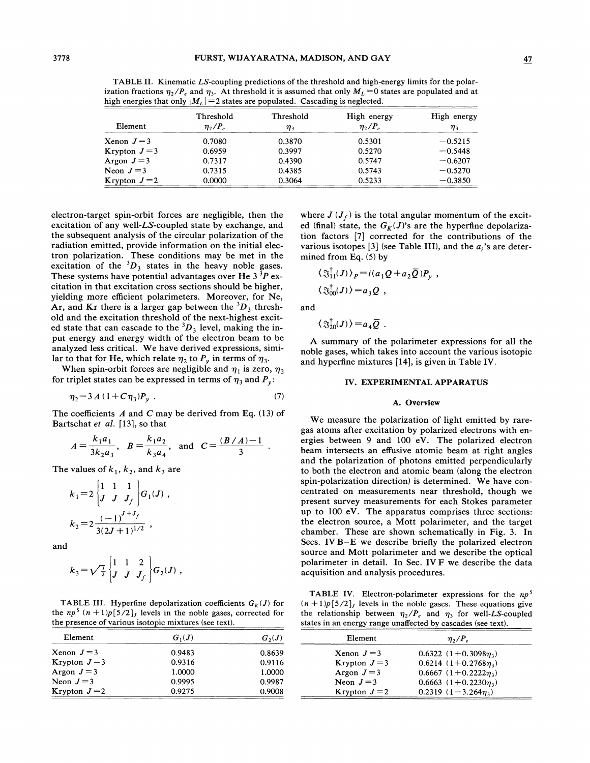TABLE 11. Kinematic LS-coupling predictions of the threshold and high-energy limits for the polarization fractions  $\eta_2/P_e$  and  $\eta_3$ . At threshold it is assumed that only  $M_L = 0$  states are populated and at high energies that only  $|M_L|$  = 2 states are populated. Cascading is neglected.

| Element       | Threshold<br>$\eta_2/P_e$ | Threshold<br>$\eta_3$ | High energy<br>$\eta_2/P_e$ | High energy<br>$\eta_3$ |
|---------------|---------------------------|-----------------------|-----------------------------|-------------------------|
| Xenon $J=3$   | 0.7080                    | 0.3870                | 0.5301                      | $-0.5215$               |
| Krypton $J=3$ | 0.6959                    | 0.3997                | 0.5270                      | $-0.5448$               |
| Argon $J=3$   | 0.7317                    | 0.4390                | 0.5747                      | $-0.6207$               |
| Neon $J=3$    | 0.7315                    | 0.4385                | 0.5743                      | $-0.5270$               |
| Krypton $J=2$ | 0.0000                    | 0.3064                | 0.5233                      | $-0.3850$               |

electron-target spin-orbit forces are negligible, then the excitation of any well-LS-coupled state by exchange, and the subsequent analysis of the circular polarization of the radiation emitted, provide information on the initial electron polarization. These conditions may be met in the excitation of the  ${}^{3}D_3$  states in the heavy noble gases. These systems have potential advantages over He  $3<sup>3</sup>P$  excitation in that excitation cross sections should be higher, yielding more efficient polarimeters. Moreover, for Ne, Ar, and Kr there is a larger gap between the  ${}^{3}D_3$  threshold and the excitation threshold of the next-highest excited state that can cascade to the  ${}^{3}D_3$  level, making the input energy and energy width of the electron beam to be analyzed less critical. We have derived expressions, similar to that for He, which relate  $\eta_2$  to  $P_\nu$  in terms of  $\eta_3$ .

When spin-orbit forces are negligible and  $\eta_1$  is zero,  $\eta_2$ for triplet states can be expressed in terms of  $\eta_3$  and  $P_y$ :

$$
\eta_2 = 3 A (1 + C \eta_3) P_v \tag{7}
$$

The coefficients *A* and C may be derived from Eq. (13) of

Bartschat *et al.* [13], so that  

$$
A = \frac{k_1 a_1}{3k_2 a_3}, \quad B = \frac{k_1 a_2}{k_3 a_4}, \quad \text{and} \quad C = \frac{(B/A)-1}{3}.
$$

The values of  $k_1$ ,  $k_2$ , and  $k_3$  are

$$
k_1 = 2 \begin{bmatrix} 1 & 1 & 1 \\ J & J & J_f \end{bmatrix} G_1(J) ,
$$
  

$$
k_2 = 2 \frac{(-1)^{J+J_f}}{3(2J+1)^{1/2}} ,
$$

and

$$
k_3 = \sqrt{\frac{3}{2}} \begin{bmatrix} 1 & 1 & 2 \\ J & J & J_f \end{bmatrix} G_2(J) ,
$$

TABLE III. Hyperfine depolarization coefficients  $G_K(J)$  for the  $np^5$   $(n + 1)p[5/2]$ , levels in the noble gases, corrected for the presence of various isotopic mixtures (see text).

| Element       | $G_1(J)$ | $G_2(J)$ | Element       | $\eta_2/P_e$                |
|---------------|----------|----------|---------------|-----------------------------|
| Xenon $J=3$   | 0.9483   | 0.8639   | Xenon $J=3$   | $0.6322$ $(1+0.3098n)$      |
| Krypton $J=3$ | 0.9316   | 0.9116   | Krypton $J=3$ | $0.6214$ (1+0.2768 $\eta$ ) |
| Argon $J=3$   | 1.0000   | 1.0000   | Argon $J=3$   | $0.6667$ $(1+0.2222n)$      |
| Neon $J=3$    | 0.9995   | 0.9987   | Neon $J=3$    | $0.6663$ $(1+0.2230\eta)$   |
| Krypton $J=2$ | 0.9275   | 0.9008   | Krypton $J=2$ | 0.2319 $(1-3.264\eta_3)$    |

where  $J(J_f)$  is the total angular momentum of the excited (final) state, the  $G_K(J)$ 's are the hyperfine depolarization factors [7] corrected for the contributions of the various isotopes  $\lceil 3 \rceil$  (see Table III), and the *a*,'s are determined from Eq. **(5)** by

$$
\langle \mathcal{S}_{11}^{\dagger}(J) \rangle_{P} = i (a_{1} Q + a_{2} \overline{Q}) P_{y} ,
$$
  

$$
\langle \mathcal{S}_{00}^{\dagger}(J) \rangle = a_{3} Q ,
$$

and

$$
\langle \mathfrak{S}^{\dagger}_{20}(J) \rangle = a_4 \overline{Q}
$$

**A** summary of the polarimeter expressions for all the noble gases, which takes into account the various isotopic and hyperfine mixtures [14], is given in Table IV.

#### **IV. EXPERIMENTAL APPARATUS**

#### **A. Overview**

We measure the polarization of light emitted by raregas atoms after excitation by polarized electrons with energies between 9 and 100 eV. The polarized electron beam intersects an effusive atomic beam at right angles and the polarization of photons emitted perpendicularly to both the electron and atomic beam (along the electron spin-polarization direction) is determined. We have concentrated on measurements near threshold, though we present survey measurements for each Stokes parameter up to 100 eV. The apparatus comprises three sections: the electron source, a Mott polarimeter, and the target chamber. These are shown schematically in Fig. **3.** In Secs. IV B-E we describe briefly the polarized electron source and Mott polarimeter and we describe the optical polarimeter in detail. In Sec. IV F we describe the data acquisition and analysis procedures.

TABLE IV. Electron-polarimeter expressions for the *npS*   $(n + 1)p[5/2]$ , levels in the noble gases. These equations give the relationship between  $\eta_2/P_e$  and  $\eta_3$  for well-LS-coupled states in an energy range unaffected by cascades (see text).

| Element       | $\eta_2/P_e$                |  |
|---------------|-----------------------------|--|
| Xenon $J=3$   | $0.6322$ $(1+0.3098\eta_3)$ |  |
| Krypton $J=3$ | $0.6214$ $(1+0.2768\eta_3)$ |  |
| Argon $J=3$   | $0.6667$ $(1+0.2222\eta_3)$ |  |
| Neon $J=3$    | $0.6663$ $(1+0.2230\eta_3)$ |  |
| Krypton $J=2$ | 0.2319 $(1-3.264\eta_3)$    |  |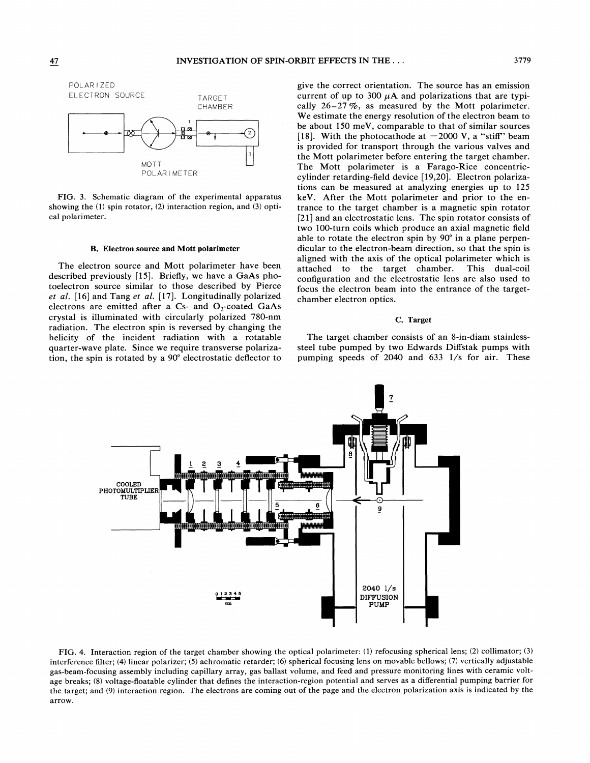

*FIG. 3.* Schematic diagram of the experimental apparatus showing the **(1)** spin rotator, (2) interaction region, and *(3)* optical polarimeter.

#### B. Electron source and Mott polarimeter

The electron source and Mott polarimeter have been described previously [15]. Briefly, we have a GaAs photoelectron source similar to those described by Pierce *et al.* [16] and Tang *et al.* [17]. Longitudinally polarized electrons are emitted after a Cs- and  $O_2$ -coated GaAs crystal is illuminated with circularly polarized 780-nm radiation. The electron spin is reversed by changing the helicity of the incident radiation with a rotatable quarter-wave plate. Since we require transverse polarization, the spin is rotated by a 90" electrostatic deflector to

give the correct orientation. The source has an emission current of up to 300  $\mu$ A and polarizations that are typically 26-27 %, as measured by the Mott polarimeter. We estimate the energy resolution of the electron beam to be about 150 meV, comparable to that of similar sources [18]. With the photocathode at  $-2000$  V, a "stiff" beam is provided for transport through the various valves and the Mott polarimeter before entering the target chamber. The Mott polarimeter is a Farago-Rice concentriccylinder retarding-field device [19,20]. Electron polarizations can be measured at analyzing energies up to 125 keV. After the Mott polarimeter and prior to the entrance to the target chamber is a magnetic spin rotator [21] and an electrostatic lens. The spin rotator consists of two 100-turn coils which produce an axial magnetic field able to rotate the electron spin by 90" in a plane perpendicular to the electron-beam direction, so that the spin is aligned with the axis of the optical polarimeter which is attached to the target chamber. This dual-coil configuration and the electrostatic lens are also used to focus the electron beam into the entrance of the targetchamber electron optics.

#### **C.** Target

The target chamber consists of an 8-in-diam stainlesssteel tube pumped by two Edwards Diffstak pumps with pumping speeds of 2040 and 633 l/s for air. These



FIG. 4. Interaction region of the target chamber showing the optical polarimeter: (1) refocusing spherical lens; (2) collimator; **(3)**  interference filter; **(4)** linear polarizer; **(5)** achromatic retarder; *(6)* spherical focusing lens on movable bellows; (7) vertically adjustable gas-beam-focusing assembly including capillary array, gas ballast volume, and feed and pressure monitoring lines with ceramic voltage breaks; (8) voltage-floatable cylinder that defines the interaction-region potential and serves as a differential pumping barrier for the target; and (9) interaction region. The electrons are coming out of the page and the electron polarization axis is indicated by the arrow.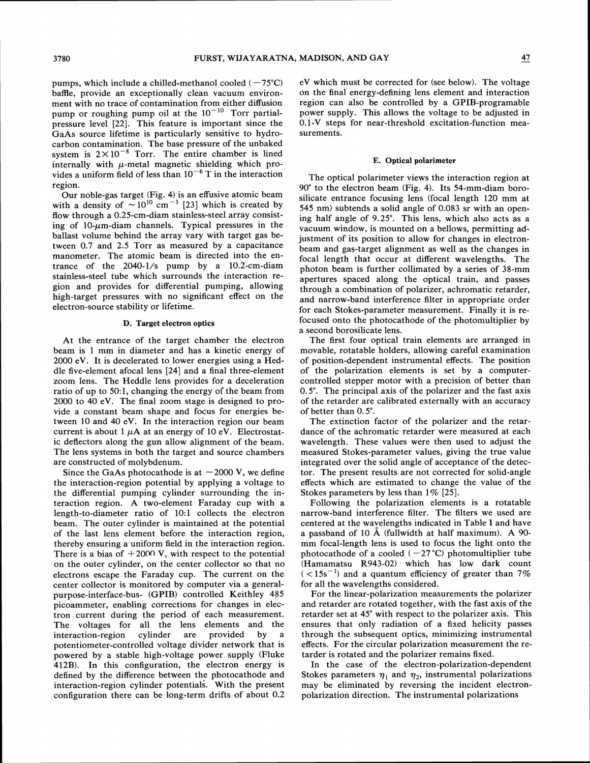pumps, which include a chilled-methanol cooled  $(-75^{\circ}C)$ baffle, provide an exceptionally clean vacuum environment with no trace of contamination from either diffusion pump or roughing pump oil at the  $10^{-10}$  Torr partialpressure level [22]. This feature is important since the GaAs source lifetime is particularly sensitive to hydrocarbon contamination. The base pressure of the unbaked system is  $2 \times 10^{-8}$  Torr. The entire chamber is lined internally with  $\mu$ -metal magnetic shielding which provides a uniform field of less than  $10^{-6}$  T in the interaction region.

Our noble-gas target (Fig. 4) is an effusive atomic beam with a density of  $\sim 10^{10}$  cm<sup>-3</sup> [23] which is created by flow through a 0.25-cm-diam stainless-steel array consisting of  $10$ - $\mu$ m-diam channels. Typical pressures in the ballast volume behind the array vary with target gas between 0.7 and 2.5 Torr as measured by a capacitance manometer. The atomic beam is directed into the entrance of the 2040-l/s pump by a 10.2-cm-diam stainless-steel tube which surrounds the interaction region and provides for differential pumping, allowing high-target pressures with no significant effect on the electron-source stability or lifetime.

#### D. Target electron optics

At the entrance of the target chamber the electron beam is 1 mm in diameter and has a kinetic energy of 2000 eV. It is decelerated to lower energies using a Heddle five-element afocal lens [24] and a final three-element zoom lens. The Heddle lens provides for a deceleration ratio of up to 50:1, changing the energy of the beam from 2000 to 40 eV. The final zoom stage is designed to provide a constant beam shape and focus for energies between 10 and 40 eV. In the interaction region our beam current is about 1  $\mu$ A at an energy of 10 eV. Electrostatic deflectors along the gun allow alignment of the beam. The lens systems in both the target and source chambers are constructed of molybdenum.

Since the GaAs photocathode is at  $-2000$  V, we define the interaction-region potential by applying a voltage to the differential pumping cylinder surrounding the interaction region. A two-element Faraday cup with a length-to-diameter ratio of 10:1 collects the electron beam. The outer cylinder is maintained at the potential of the last lens element before the interaction region, thereby ensuring a uniform field in the interaction region. There is a bias of  $+2000$  V, with respect to the potential on the outer cylinder, on the center collector so that no electrons escape the Faraday cup. The current on the center collector is monitored by computer via a generalpurpose-interface-bus- (GPIB) controlled Keithley 485 picoammeter, enabling corrections for changes in electron current during the period of each measurement. The voltages for all the lens elements and the interaction-region cylinder are provided by a potentiometer-controlled voltage divider network that is powered by a stable high-voltage power supply (Fluke 412B). In this configuration, the electron energy is defined by the difference between the photocathode and interaction-region cylinder potentials. With the present configuration there can be long-term drifts of about 0.2 eV which must be corrected for (see below). The voltage on the final energy-defining lens element and interaction region can also be controlled by a GPIB-programable power supply. This allows the voltage to be adjusted in 0.1-V steps for near-threshold excitation-function measurements.

#### E. Optical polarimeter

The optical polarimeter views the interaction region at 90" to the electron beam (Fig. 4). Its 54-mm-diam borosilicate entrance focusing lens (focal length 120 mm at 545 nm) subtends a solid angle of 0.083 sr with an opening half angle of 9.25". This lens, which also acts as a vacuum window, is mounted on a bellows, permitting adjustment of its position to allow for changes in electronbeam and gas-target alignment as well as the changes in focal length that occur at different wavelengths. The photon beam is further collimated by a series of 38-mm apertures spaced along the optical train, and passes through a combination of polarizer, achromatic retarder, and narrow-band interference filter in appropriate order for each Stokes-parameter measurement. Finally it is refocused onto the photocathode of the photomultiplier by a second borosilicate lens.

The first four optical train elements are arranged in movable, rotatable holders, allowing careful examination of position-dependent instrumental effects. The position of the polarization elements is set by a computercontrolled stepper motor with a precision of better than 0.5". The principal axis of the polarizer and the fast axis of the retarder are calibrated externally with an accuracy of better than 0.5".

The extinction factor of the polarizer and the retardance of the achromatic retarder were measured at each wavelength. These values were then used to adjust the measured Stokes-parameter values, giving the true value integrated over the solid angle of acceptance of the detector. The present results are not corrected for solid-angle effects which are estimated to change the value of the Stokes parameters by less than  $1\%$  [25].

Following the polarization elements is a rotatable narrow-band interference filter. The filters we used are centered at the wayelengths indicated in Table I and have a passband of 10  $\AA$  (fullwidth at half maximum). A 90mm focal-length lens is used to focus the light onto the photocathode of a cooled  $(-27^{\circ}C)$  photomultiplier tube (Hamamatsu R943-02) which has low dark count  $(< 15s^{-1})$  and a quantum efficiency of greater than 7% for all the wavelengths considered.

For the linear-polarization measurements the polarizer and retarder are rotated together, with the fast axis of the retarder set at 45° with respect to the polarizer axis. This ensures that only radiation of a fixed helicity passes through the subsequent optics, minimizing instrumental effects. For the circular polarization measurement the retarder is rotated and the polarizer remains fixed.

In the case of the electron-polarization-dependent Stokes parameters  $\eta_1$  and  $\eta_2$ , instrumental polarizations may be eliminated by reversing the incident electronpolarization direction. The instrumental polarizations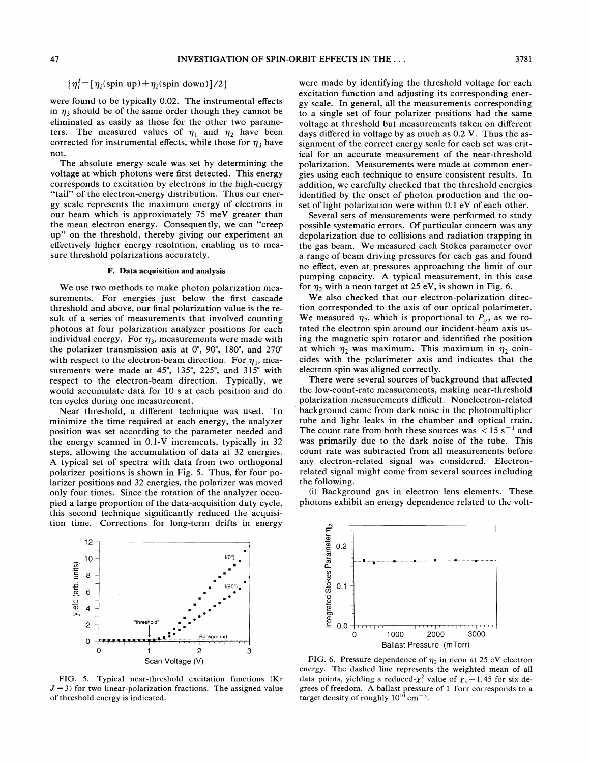### $\{\eta_i^I = [\eta_i(\text{spin up}) + \eta_i(\text{spin down})]/2\}$

were found to be typically 0.02. The instrumental effects in  $\eta_3$  should be of the same order though they cannot be eliminated as easily as those for the other two parameters. The measured values of  $\eta_1$  and  $\eta_2$  have been corrected for instrumental effects, while those for  $\eta_3$  have not.

The absolute energy scale was set by determining the voltage at which photons were first detected. This energy corresponds to excitation by electrons in the high-energy "tail" of the electron-energy distribution. Thus our energy scale represents the maximum energy of electrons in our beam which is approximately 75 meV greater than the mean electron energy. Consequently, we can "creep up" on the threshold, thereby giving our experiment an effectively higher energy resolution, enabling us to measure threshold polarizations accurately.

#### **F. Data acquisition and analysis**

We use two methods to make photon polarization measurements. For energies just below the first cascade threshold and above, our final polarization value is the result of a series of measurements that involved counting photons at four polarization analyzer positions for each individual energy. For  $\eta_3$ , measurements were made with the polarizer transmission axis at 0", 90", 180", and 270" with respect to the electron-beam direction. For  $\eta_1$ , measurements were made at 45°, 135°, 225°, and 315° with respect to the electron-beam direction. Typically, we would accumulate data for 10 s at each position and do ten cycles during one measurement.

Near threshold, a different technique was used. To minimize the time required at each energy, the analyzer position was set according to the parameter needed and the energy scanned in 0.1-V increments, typically in 32 steps, allowing the accumulation of data at 32 energies. A typical set of spectra with data from two orthogonal polarizer positions is shown in Fig. 5. Thus, for four polarizer positions and 32 energies, the polarizer was moved only four times. Since the rotation of the analyzer occupied a large proportion of the data-acquisition duty cycle, this second technique significantly reduced the acquisition time. Corrections for long-term drifts in energy

12 10 yield (arb. units) 8 6  $\overline{4}$  $\overline{c}$ "threshold

FIG. 5. Typical near-threshold excitation functions (Kr  $J = 3$ ) for two linear-polarization fractions. The assigned value of threshold energy is indicated.

 $\mathbf 0$ 

0 1 2 3 Scan Voltage (V)

 $-$ Background

were made by identifying the threshold voltage for each excitation function and adjusting its corresponding energy scale. In general, all the measurements corresponding to a single set of four polarizer positions had the same voltage at threshold but measurements taken on different days differed in voltage by as much as 0.2 V. Thus the assignment of the correct energy scale for each set was critical for an accurate measurement of the near-threshold polarization. Measurements were made at common energies using each technique to ensure consistent results. In addition, we carefully checked that the threshold energies identified by the onset of photon production and the onset of light polarization were within 0.1 eV of each other.

Several sets of measurements were performed to study possible systematic errors. Of particular concern was any depolarization due to collisions and radiation trapping in the gas beam. We measured each Stokes parameter over a range of beam driving pressures for each gas and found no effect, even at pressures approaching the limit of our pumping capacity. A typical measurement, in this case for  $\eta_2$  with a neon target at 25 eV, is shown in Fig. 6.

We also checked that our electron-polarization direction corresponded to the axis of our optical polarimeter. We measured  $\eta_2$ , which is proportional to  $P_v$ , as we rotated the electron spin around our incident-beam axis using the magnetic spin rotator and identified the position at which  $\eta_2$  was maximum. This maximum in  $\eta_2$  coincides with the polarimeter axis and indicates that the electron spin was aligned correctly.

There were several sources of background that affected the low-count-rate measurements, making near-threshold polarization measurements difficult. Nonelectron-related background came from dark noise in the photomultiplier tube and light leaks in the chamber and optical train. The count rate from both these sources was  $\leq 15$  s<sup>-1</sup> and was primarily due to the dark noise of the tube. This count rate was subtracted from all measurements before any electron-related signal was considered. Electronrelated signal might come from several sources including the following.

(i) Background gas in electron lens elements. These photons exhibit an energy dependence related to the volt-



FIG. 6. Pressure dependence of  $\eta_2$  in neon at 25 eV electron energy. The dashed line represents the weighted mean of all data points, yielding a reduced- $\chi^2$  value of  $\chi_v = 1.45$  for six degrees of freedom. **A** ballast pressure of 1 Torr corresponds to a target density of roughly  $10^{10}$  cm<sup>-3</sup>.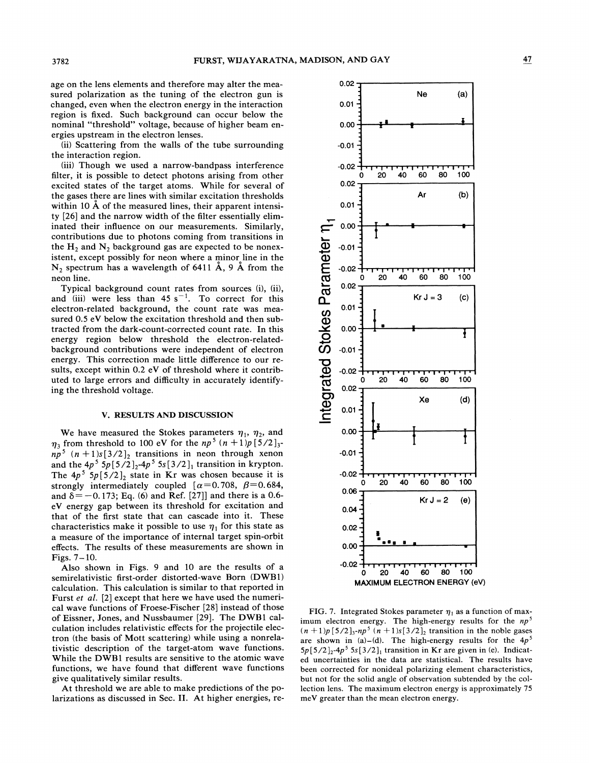age on the lens elements and therefore may alter the measured polarization as the tuning of the electron gun is changed, even when the electron energy in the interaction region is fixed. Such background can occur below the nominal "threshold" voltage, because of higher beam energies upstream in the electron lenses.

(ii) Scattering from the walls of the tube surrounding the interaction region.

iiii) Though we used a narrow-bandpass interference filter, it is possible to detect photons arising from other excited states of the target atoms. While for several of the gases tbere are lines with similar excitation thresholds within 10  $\AA$  of the measured lines, their apparent intensity [26] and the narrow width of the filter essentially eliminated their influence on our measurements. Similarly, contributions due to photons coming from transitions in the  $H_2$  and  $N_2$  background gas are expected to be nonexistent, except possibly for neon where a minor line in the  $N_2$  spectrum has a wavelength of 6411  $\AA$ , 9  $\AA$  from the neon line.

Typical background count rates from sources (i), (ii), and (iii) were less than  $45 s^{-1}$ . To correct for this electron-related background, the count rate was measured 0.5 eV below the excitation threshold and then subtracted from the dark-count-corrected count rate. In this energy region below threshold the electron-relatedbackground contributions were independent of electron energy. This correction made little difference to our results, except within 0.2 eV of threshold where it contributed to large errors and difficulty in accurately identifying the threshold voltage.

### **V. RESULTS AND DISCUSSION**

We have measured the Stokes parameters  $\eta_1$ ,  $\eta_2$ , and  $\eta_3$  from threshold to 100 eV for the *np*<sup>5</sup>  $(n + 1)p[5/2]_3$  $np^5$   $(n + 1)s[3/2]_2$  transitions in neon through xenon and the  $4p^5$  5 $p[5/2]_2$ - $4p^5$  5s  $[3/2]_1$  transition in krypton. The  $4p^5$  5 $p[5/2]_2$  state in Kr was chosen because it is strongly intermediately coupled  $\alpha = 0.708$ ,  $\beta = 0.684$ , and  $\delta = -0.173$ ; Eq. (6) and Ref. [27]] and there is a 0.6eV energy gap between its threshold for excitation and that of the first state that can cascade into it. These characteristics make it possible to use  $\eta_1$  for this state as a measure of the importance of internal target spin-orbit effects. The results of these measurements are shown in Figs. **7-** 10.

Also shown in Figs. 9 and 10 are the results of a semirelativistic first-order distorted-wave Born (DWB1) calculation. This calculation is similar to that reported in Furst *et al.* [2] except that here we have used the numerical wave functions of Froese-Fischer [28] instead of those of Eissner, Jones, and Nussbaumer [29]. The DWBl calculation includes relativistic effects for the projectile electron (the basis of Mott scattering) while using a nonrelativistic description of the target-atom wave functions. While the DWBl results are sensitive to the atomic wave functions, we have found that different wave functions give qualitatively similar results.

At threshold we are able to make predictions of the polarizations as discussed in Sec. **11.** At higher energies, re-



**FIG. 7.** Integrated Stokes parameter  $\eta_1$  as a function of maximum electron energy. The high-energy results for the  $np^5$  $(n + 1)p [5/2]_3$ -np<sup>5</sup>  $(n + 1)s [3/2]_2$  transition in the noble gases are shown in  $(a)$ -(d). The high-energy results for the  $4p<sup>5</sup>$  $5p[5/2]_2$ -4p<sup>5</sup>  $5s[3/2]_1$  transition in Kr are given in (e). Indicated uncertainties in the data are statistical. The results have been corrected for nonideal polarizing element characteristics, but not for the solid angle of observation subtended by the collection lens. The maximum electron energy is approximately *75*  meV greater than the mean electron energy.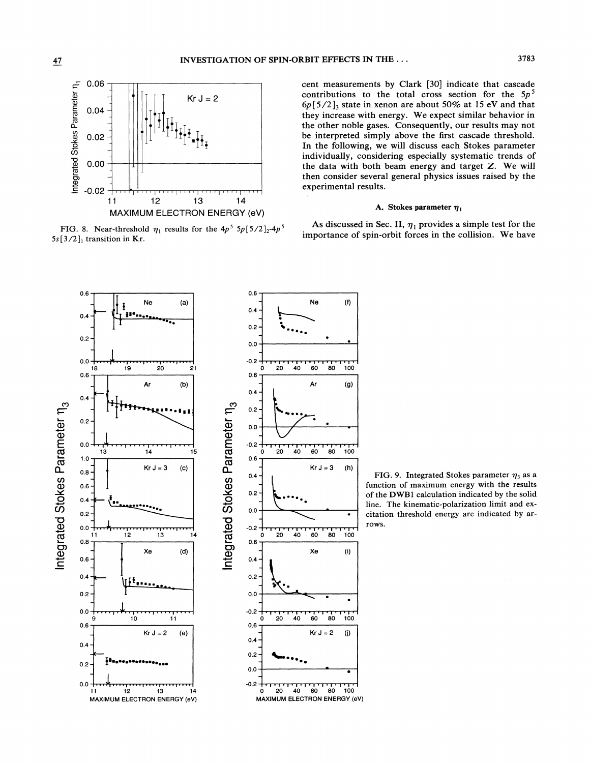

cent measurements by Clark [30] indicate that cascade contributions to the total cross section for the *5p5*   $6p[5/2]_3$  state in xenon are about 50% at 15 eV and that they increase with energy. We expect similar behavior in the other noble gases. Consequently, our results may not be interpreted simply above the first cascade threshold. In the following, we will discuss each Stokes parameter individually, considering especially systematic trends of the data with both beam energy and target *Z.* We will then consider several general physics issues raised by the experimental results.

FIG. 8. Near-threshold  $\eta_1$  results for the  $4p^5$  5p[5/2]<sub>2</sub>-4p<sup>5</sup> As discussed in Sec. II,  $\eta_1$  provides a simple test for the *5s*[3/2]<sub>1</sub> transition in Kr. **importance** of spin-orbit forces in the collision. We have



FIG. 9. Integrated Stokes parameter  $\eta_3$  as a function of maximum energy **with** the results of the **DWBl** calculation indicated by the solid line. The kinematic-polarization limit and excitation threshold energy are indicated by **ar**rows.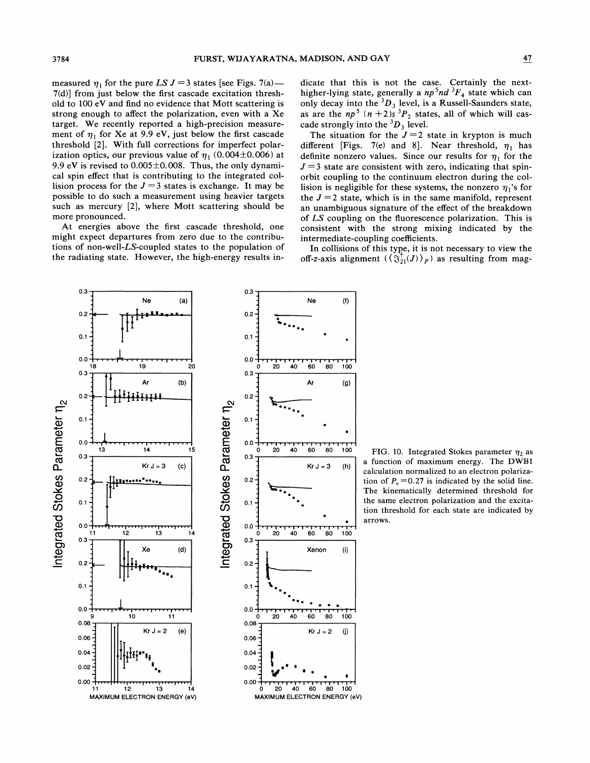measured  $\eta_1$  for the pure LS  $J = 3$  states [see Figs. 7(a)--7(d)] from just below the first cascade excitation threshold to 100 eV and find no evidence that Mott scattering is strong enough to affect the polarization, even with a Xe target. We recently reported a high-precision measurement of  $\eta_1$  for Xe at 9.9 eV, just below the first cascade threshold *[2].* With full corrections for imperfect polarization optics, our previous value of  $\eta_1$  (0.004±0.006) at 9.9 eV is revised to  $0.005\pm0.008$ . Thus, the only dynamical spin effect that is contributing to the integrated collision process for the  $J=3$  states is exchange. It may be possible to do such a measurement using heavier targets such as mercury [2], where Mott scattering should be more pronounced.

At energies above the first cascade threshold, one might expect departures from zero due to the contributions of non-well-LS-coupled states to the population of the radiating state. However, the high-energy results indicate that this is not the case. Certainly the nexthigher-lying state, generally a  $np^5nd^3F_4$  state which can only decay into the  ${}^{3}D_3$  level, is a Russell-Saunders state, as are the  $np^5$   $(n + 2)s^3P_2$  states, all of which will cascade strongly into the  ${}^3D_3$  level.

The situation for the  $J=2$  state in krypton is much different [Figs. 7(e) and 8]. Near threshold,  $\eta_1$  has definite nonzero values. Since our results for  $\eta_1$  for the  $J = 3$  state are consistent with zero, indicating that spinorbit coupling to the continuum electron during the collision is negligible for these systems, the nonzero  $\eta_1$ 's for the  $J = 2$  state, which is in the same manifold, represent an unambiguous signature of the effect of the breakdown of *LS* coupling on the fluorescence polarization. This is consistent with the strong mixing indicated by the intermediate-coupling coefficients.

In collisions of this type, it is not necessary to view the off-z-axis alignment  $(\langle \S_{21}^{\dagger}(J) \rangle_P)$  as resulting from mag-



 $20 \times 40$  60 80 100 FIG. 10. Integrated Stokes parameter  $\eta_2$  as  $Kr J = 3$  (h) a function of maximum energy. The DWB1 calculation normallzed to an electron polarization of  $P_e = 0.27$  is indicated by the solid line. The kinematically determined threshold for the same electron polarization and the excitation threshold for each state are indicated by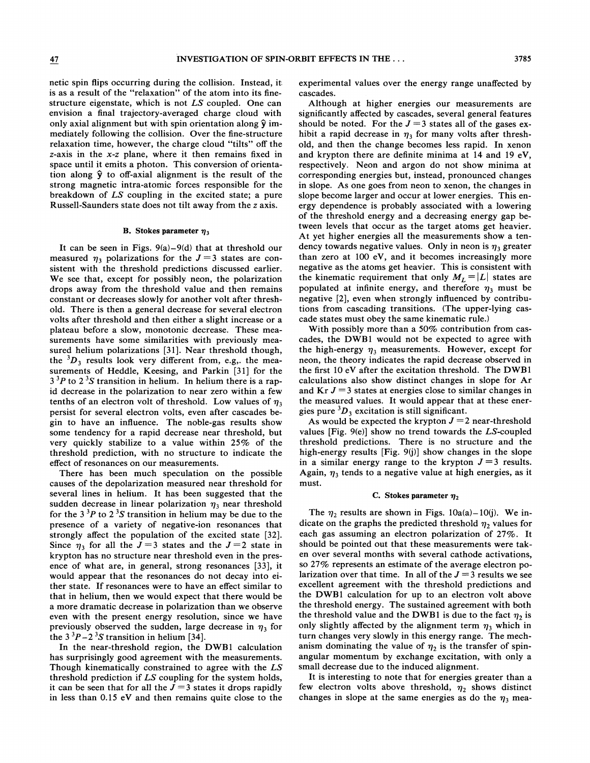netic spin flips occurring during the collision. Instead, it is as a result of the "relaxation" of the atom into its finestructure eigenstate, which is not LS coupled. One can envision a final trajectory-averaged charge cloud with only axial alignment but with spin orientation along  $\hat{y}$  immediately following the collision. Over the fine-structure relaxation time, however, the charge cloud "tilts" off the z-axis in the x-z plane, where it then remains fixed in space until it emits a photon. This conversion of orientation along  $\hat{y}$  to off-axial alignment is the result of the strong magnetic intra-atomic forces responsible for the breakdown of LS coupling in the excited state; a pure Russell-Saunders state does not tilt away from the z axis.

#### **B.** Stokes parameter  $\eta_3$

It can be seen in Figs.  $9(a) - 9(d)$  that at threshold our measured  $\eta_3$  polarizations for the  $J=3$  states are consistent with the threshold predictions discussed earlier. We see that, except for possibly neon, the polarization drops away from the threshold value and then remains constant or decreases slowly for another volt after threshold. There is then a general decrease for several electron **<sup>u</sup>** volts after threshold and then either a slight increase or a plateau before a slow, monotonic decrease. These measurements have some similarities with previously measured helium polarizations [31]. Near threshold though, the  ${}^{3}D_3$  results look very different from, e.g,. the measurements of Heddle, Keesing, and Parkin [31] for the  $3<sup>3</sup>P$  to  $2<sup>3</sup>S$  transition in helium. In helium there is a rapid decrease in the polarization to near zero within a few tenths of an electron volt of threshold. Low values of  $\eta_3$ persist for several electron volts, even after cascades begin to have an influence. The noble-gas results show some tendency for a rapid decrease near threshold, but very quickly stabilize to a value within 25% of the threshold prediction, with no structure to indicate the effect of resonances on our measurements.

There has been much speculation on the possible causes of the depolarization measured near threshold for several lines in helium. It has been suggested that the sudden decrease in linear polarization  $\eta_3$  near threshold for the  $3<sup>3</sup>P$  to  $2<sup>3</sup>S$  transition in helium may be due to the presence of a variety of negative-ion resonances that strongly affect the population of the excited state [32]. Since  $\eta_3$  for all the  $J=3$  states and the  $J=2$  state in krypton has no structure near threshold even in the presence of what are, in general, strong resonances [33], it would appear that the resonances do not decay into either state. If resonances were to have an effect similar to that in helium, then we would expect that there would be a more dramatic decrease in polarization than we observe even with the present energy resolution, since we have previously observed the sudden, large decrease in  $\eta_3$  for the  $3^{3}P-2^{3}S$  transition in helium [34].

In the near-threshold region, the DWBl calculation has surprisingly good agreement with the measurements. Though kinematically constrained to agree with the LS threshold prediction if LS coupling for the system holds, it can be seen that for all the  $J=3$  states it drops rapidly in less than 0.15 eV and then remains quite close to the

experimental values over the energy range unaffected by cascades.

Although at higher energies our measurements are significantly affected by cascades, several general features should be noted. For the  $J = 3$  states all of the gases exhibit a rapid decrease in  $\eta_3$  for many volts after threshold, and then the change becomes less rapid. In xenon and krypton there are definite minima at 14 and 19 eV, respectively. Neon and argon do not show minima at corresponding energies but, instead, pronounced changes in slope. As one goes from neon to xenon, the changes in slope become larger and occur at lower energies. This energy dependence is probably associated with a lowering of the threshold energy and a decreasing energy gap between levels that occur as the target atoms get heavier. At yet higher energies all the measurements show a tendency towards negative values. Only in neon is  $\eta_3$  greater than zero at 100 eV, and it becomes increasingly more negative as the atoms get heavier. This is consistent with the kinematic requirement that only  $M_L = |L|$  states are populated at infinite energy, and therefore  $\eta_3$  must be negative [2], even when strongly influenced by contributions from cascading transitions. (The upper-lying cascade states must obey the same kinematic rule.)

With possibly more than a 50% contribution from cascades, the DWBl would not be expected to agree with the high-energy  $\eta_3$  measurements. However, except for neon, the theory indicates the rapid decrease observed in the first 10 eV after the excitation threshold. The DWBl calculations also show distinct changes in slope for Ar and  $Kr J = 3$  states at energies close to similar changes in the measured values. It would appear that at these energies pure  ${}^{3}D_3$  excitation is still significant.

As would be expected the krypton  $J = 2$  near-threshold values [Fig. 9(e)] show no trend towards the LS-coupled threshold predictions. There is no structure and the high-energy results  $[Fig. 9(j)]$  show changes in the slope in a similar energy range to the krypton  $J=3$  results. Again,  $\eta_3$  tends to a negative value at high energies, as it must.

#### **C.** Stokes parameter  $\eta_2$

The  $\eta_2$  results are shown in Figs. 10a(a)-10(j). We indicate on the graphs the predicted threshold  $\eta_2$  values for each gas assuming an electron polarization of 27%. It should be pointed out that these measurements were taken over several months with several cathode activations, so 27% represents an estimate of the average electron polarization over that time. In all of the  $J = 3$  results we see excellent agreement with the threshold predictions and the DWBl calculation for up to an electron volt above the threshold energy. The sustained agreement with both the threshold value and the DWB1 is due to the fact  $\eta_2$  is only slightly affected by the alignment term  $\eta_3$  which in turn changes very slowly in this energy range. The mechanism dominating the value of  $\eta_2$  is the transfer of spinangular momentum by exchange excitation, with only a small decrease due to the induced alignment.

It is interesting to note that for energies greater than a few electron volts above threshold,  $\eta_2$  shows distinct changes in slope at the same energies as do the  $\eta_3$  mea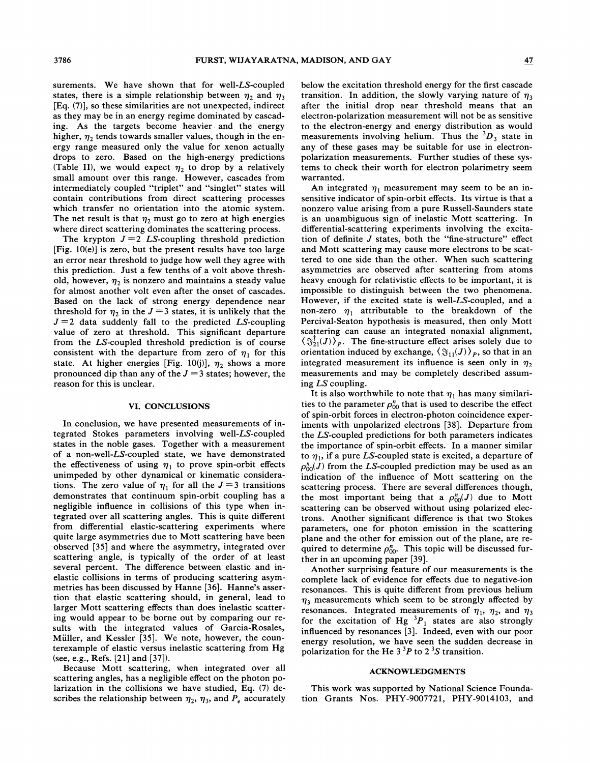surements. We have shown that for well-LS-coupled states, there is a simple relationship between  $\eta_2$  and  $\eta_3$ [Eq. (7)], so these similarities are not unexpected, indirect as they may be in an energy regime dominated by cascading. As the targets become heavier and the energy higher,  $\eta_2$  tends towards smaller values, though in the energy range measured only the value for xenon actually drops to zero. Based on the high-energy predictions (Table II), we would expect  $\eta_2$  to drop by a relatively small amount over this range. However, cascades from intermediately coupled "triplet" and "singlet" states will contain contributions from direct scattering processes which transfer no orientation into the atomic system. The net result is that  $\eta_2$  must go to zero at high energies where direct scattering dominates the scattering process.

The krypton  $J = 2$  LS-coupling threshold prediction [Fig. 10(e)] is zero, but the present results have too large an error near threshold to judge how well they agree with this prediction. Just a few tenths of a volt above threshold, however,  $\eta_2$  is nonzero and maintains a steady value for almost another volt even after the onset of cascades. Based on the lack of strong energy dependence near threshold for  $\eta_2$  in the  $J = 3$  states, it is unlikely that the  $J = 2$  data suddenly fall to the predicted LS-coupling value of zero at threshold. This significant departure from the LS-coupled threshold prediction is of course consistent with the departure from zero of  $\eta_1$  for this state. At higher energies [Fig. 10(j)],  $\eta_2$  shows a more pronounced dip than any of the  $J = 3$  states; however, the reason for this is unclear.

#### **V1. CONCLUSIONS**

In conclusion, we have presented measurements of integrated Stokes parameters involving well-LS-coupled states in the noble gases. Together with a measurement of a non-well-LS-coupled state, we have demonstrated the effectiveness of using  $\eta_1$  to prove spin-orbit effects unimpeded by other dynamical or kinematic considerations. The zero value of  $\eta_1$  for all the  $J=3$  transitions demonstrates that continuum spin-orbit coupling has a negligible influence in collisions of this type when integrated over all scattering angles. This is quite different from differential elastic-scattering experiments where quite large asymmetries due to Mott scattering have been observed [35] and where the asymmetry, integrated over scattering angle, is typically of the order of at least several percent. The difference between elastic and inelastic collisions in terms of producing scattering asymmetries has been discussed by Hanne [36]. Hanne's assertion that elastic scattering should, in general, lead to larger Mott scattering effects than does inelastic scattering would appear to be borne out by comparing our results with the integrated values of Garcia-Rosales, Miiller, and Kessler [35]. We note, however, the counterexample of elastic versus inelastic scattering from Hg (see, e.g., Refs. [21] and [37]).

Because Mott scattering, when integrated over all scattering angles, has a negligible effect on the photon polarization in the collisions we have studied, Eq. (7) describes the relationship between  $\eta_2$ ,  $\eta_3$ , and  $P_e$  accurately below the excitation threshold energy for the first cascade transition. In addition, the slowly varying nature of  $\eta_3$ after the initial drop near threshold means that an electron-polarization measurement will not be as sensitive to the electron-energy and energy distribution as would measurements involving helium. Thus the  ${}^{3}D_{3}$  state in any of these gases may be suitable for use in electronpolarization measurements. Further studies of these systems to check their worth for electron polarimetry seem warranted.

An integrated  $\eta_1$  measurement may seem to be an insensitive indicator of spin-orbit effects. Its virtue is that a nonzero value arising from a pure Russell-Saunders state is an unambiguous sign of inelastic Mott scattering. In differential-scattering experiments involving the excitation of definite  $J$  states, both the "fine-structure" effect and Mott scattering may cause more electrons to be scattered to one side than the other. When such scattering asymmetries are observed after scattering from atoms heavy enough for relativistic effects to be important, it is impossible to distinguish between the two phenomena. However, if the excited state is well-LS-coupled, and a non-zero  $\eta_1$  attributable to the breakdown of the Percival-Seaton hypothesis is measured, then only Mott scattering can cause an integrated nonaxial alignment,  $\langle \Im_{21}^{\dagger}(J) \rangle_{p}$ . The fine-structure effect arises solely due to orientation induced by exchange,  $\langle \mathfrak{F}_{11}(J) \rangle_p$ , so that in an integrated measurement its influence is seen only in  $\eta_2$ measurements and may be completely described assuming LS coupling.

It is also worthwhile to note that  $\eta_1$  has many similarities to the parameter  $\rho_{00}^n$  that is used to describe the effect of spin-orbit forces in electron-photon coincidence experiments with unpolarized electrons [38]. Departure from the LS-coupled predictions for both parameters indicates the importance of spin-orbit effects. In a manner similar to  $\eta_1$ , if a pure LS-coupled state is excited, a departure of  $\rho_{00}^n(J)$  from the LS-coupled prediction may be used as an indication of the influence of Mott scattering on the scattering process. There are several differences though, the most important being that a  $\rho_{00}^n(J)$  due to Mott scattering can be observed without using polarized electrons. Another significant difference is that two Stokes parameters, one for photon emission in the scattering plane and the other for emission out of the plane, are required to determine  $\rho_{00}^n$ . This topic will be discussed further in an upcoming paper [39].

Another surprising feature of our measurements is the complete lack of evidence for effects due to negative-ion resonances. This is quite different from previous helium  $\eta_3$  measurements which seem to be strongly affected by resonances. Integrated measurements of  $\eta_1$ ,  $\eta_2$ , and  $\eta_3$ for the excitation of Hg  ${}^{3}P_{1}$  states are also strongly influenced by resonances [3]. Indeed, even with our poor energy resolution, we have seen the sudden decrease in polarization for the He  $3<sup>3</sup>P$  to  $2<sup>3</sup>S$  transition.

#### **ACKNOWLEDGMENTS**

This work was supported by National Science Foundation Grants Nos. PHY-9007721, PHY-9014103, and